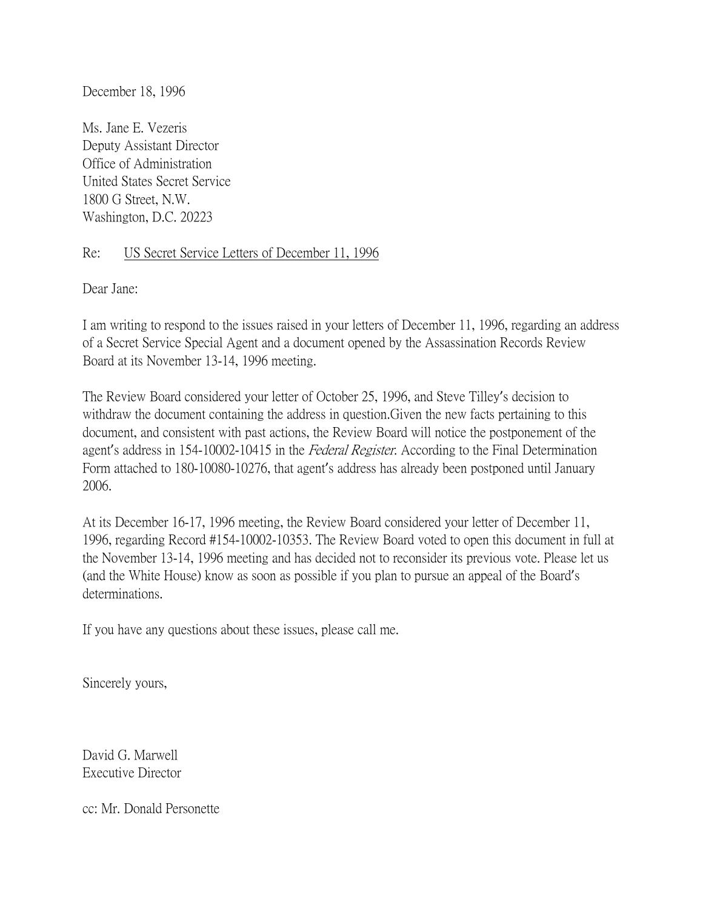December 18, 1996

Ms. Jane E. Vezeris Deputy Assistant Director Office of Administration United States Secret Service 1800 G Street, N.W. Washington, D.C. 20223

## Re: US Secret Service Letters of December 11, 1996

Dear Jane:

I am writing to respond to the issues raised in your letters of December 11, 1996, regarding an address of a Secret Service Special Agent and a document opened by the Assassination Records Review Board at its November 13-14, 1996 meeting.

The Review Board considered your letter of October 25, 1996, and Steve Tilley's decision to withdraw the document containing the address in question.Given the new facts pertaining to this document, and consistent with past actions, the Review Board will notice the postponement of the agent's address in 154-10002-10415 in the *Federal Register*. According to the Final Determination Form attached to 180-10080-10276, that agent's address has already been postponed until January 2006.

At its December 16-17, 1996 meeting, the Review Board considered your letter of December 11, 1996, regarding Record #154-10002-10353. The Review Board voted to open this document in full at the November 13-14, 1996 meeting and has decided not to reconsider its previous vote. Please let us (and the White House) know as soon as possible if you plan to pursue an appeal of the Board's determinations.

If you have any questions about these issues, please call me.

Sincerely yours,

David G. Marwell Executive Director

cc: Mr. Donald Personette